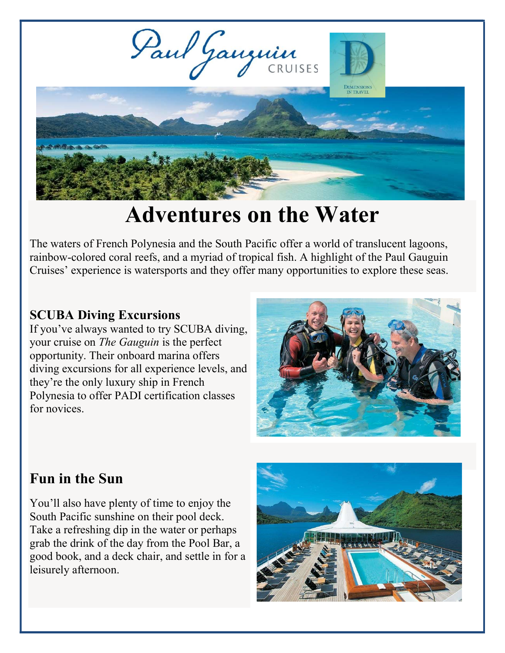

# Adventures on the Water

The waters of French Polynesia and the South Pacific offer a world of translucent lagoons, rainbow-colored coral reefs, and a myriad of tropical fish. A highlight of the Paul Gauguin Cruises' experience is watersports and they offer many opportunities to explore these seas.

#### SCUBA Diving Excursions

If you've always wanted to try SCUBA diving, your cruise on The Gauguin is the perfect opportunity. Their onboard marina offers diving excursions for all experience levels, and they're the only luxury ship in French Polynesia to offer PADI certification classes for novices.



# Fun in the Sun

You'll also have plenty of time to enjoy the South Pacific sunshine on their pool deck. Take a refreshing dip in the water or perhaps grab the drink of the day from the Pool Bar, a good book, and a deck chair, and settle in for a leisurely afternoon.